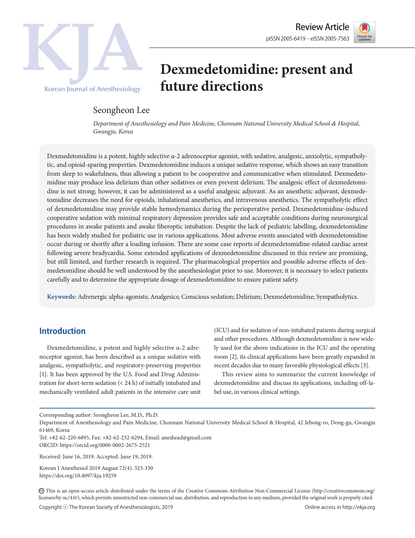



# **Dexmedetomidine: present and future directions**

# Seongheon Lee

*Department of Anesthesiology and Pain Medicine, Chonnam National University Medical School & Hospital, Gwangju, Korea*

Dexmedetomidine is a potent, highly selective α-2 adrenoceptor agonist, with sedative, analgesic, anxiolytic, sympatholytic, and opioid-sparing properties. Dexmedetomidine induces a unique sedative response, which shows an easy transition from sleep to wakefulness, thus allowing a patient to be cooperative and communicative when stimulated. Dexmedetomidine may produce less delirium than other sedatives or even prevent delirium. The analgesic effect of dexmedetomidine is not strong; however, it can be administered as a useful analgesic adjuvant. As an anesthetic adjuvant, dexmedetomidine decreases the need for opioids, inhalational anesthetics, and intravenous anesthetics. The sympatholytic effect of dexmedetomidine may provide stable hemodynamics during the perioperative period. Dexmedetomidine-induced cooperative sedation with minimal respiratory depression provides safe and acceptable conditions during neurosurgical procedures in awake patients and awake fiberoptic intubation. Despite the lack of pediatric labelling, dexmedetomidine has been widely studied for pediatric use in various applications. Most adverse events associated with dexmedetomidine occur during or shortly after a loading infusion. There are some case reports of dexmedetomidine-related cardiac arrest following severe bradycardia. Some extended applications of dexmedetomidine discussed in this review are promising, but still limited, and further research is required. The pharmacological properties and possible adverse effects of dexmedetomidine should be well understood by the anesthesiologist prior to use. Moreover, it is necessary to select patients carefully and to determine the appropriate dosage of dexmedetomidine to ensure patient safety.

**Keywords:** Adrenergic alpha-agonists; Analgesics; Conscious sedation; Delirium; Dexmedetomidine; Sympatholytics.

# **Introduction**

Dexmedetomidine, a potent and highly selective α-2 adrenoceptor agonist, has been described as a unique sedative with analgesic, sympatholytic, and respiratory-preserving properties [1]. It has been approved by the U.S. Food and Drug Administration for short-term sedation (< 24 h) of initially intubated and mechanically ventilated adult patients in the intensive care unit (ICU) and for sedation of non-intubated patients during surgical and other procedures. Although dexmedetomidine is now widely used for the above indications in the ICU and the operating room [2], its clinical applications have been greatly expanded in recent decades due to many favorable physiological effects [3].

This review aims to summarize the current knowledge of dexmedetomidine and discuss its applications, including off-label use, in various clinical settings.

Tel: +82-62-220-6895, Fax: +82-62-232-6294, Email: aneshead@gmail.com

ORCID: https://orcid.org/0000-0002-2675-2521

Corresponding author: Seongheon Lee, M.D., Ph.D.

Department of Anesthesiology and Pain Medicine, Chonnam National University Medical School & Hospital, 42 Jebong-ro, Dong-gu, Gwangju 61469, Korea

Received: June 16, 2019. Accepted: June 19, 2019.

Korean J Anesthesiol 2019 August 72(4): 323-330 https://doi.org/10.4097/kja.19259

CC This is an open-access article distributed under the terms of the Creative Commons Attribution Non-Commercial License (http://creativecommons.org/ licenses/by-nc/4.0/), which permits unrestricted non-commercial use, distribution, and reproduction in any medium, provided the original work is properly cited.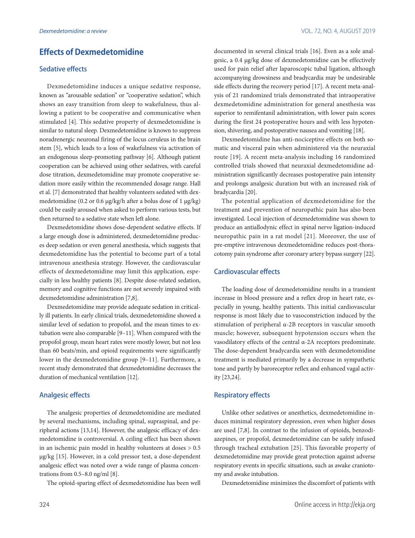# **Effects of Dexmedetomidine**

### Sedative effects

Dexmedetomidine induces a unique sedative response, known as "arousable sedation" or "cooperative sedation", which shows an easy transition from sleep to wakefulness, thus allowing a patient to be cooperative and communicative when stimulated [4]. This sedative property of dexmedetomidine is similar to natural sleep. Dexmedetomidine is known to suppress noradrenergic neuronal firing of the locus ceruleus in the brain stem [5], which leads to a loss of wakefulness via activation of an endogenous sleep-promoting pathway [6]. Although patient cooperation can be achieved using other sedatives, with careful dose titration, dexmedetomidine may promote cooperative sedation more easily within the recommended dosage range. Hall et al. [7] demonstrated that healthy volunteers sedated with dexmedetomidine (0.2 or 0.6 μg/kg/h after a bolus dose of 1 μg/kg) could be easily aroused when asked to perform various tests, but then returned to a sedative state when left alone.

Dexmedetomidine shows dose-dependent sedative effects. If a large enough dose is administered, dexmedetomidine produces deep sedation or even general anesthesia, which suggests that dexmedetomidine has the potential to become part of a total intravenous anesthesia strategy. However, the cardiovascular effects of dexmedetomidine may limit this application, especially in less healthy patients [8]. Despite dose-related sedation, memory and cognitive functions are not severely impaired with dexmedetomidine administration [7,8].

Dexmedetomidine may provide adequate sedation in critically ill patients. In early clinical trials, dexmedetomidine showed a similar level of sedation to propofol, and the mean times to extubation were also comparable [9–11]. When compared with the propofol group, mean heart rates were mostly lower, but not less than 60 beats/min, and opioid requirements were significantly lower in the dexmedetomidine group [9–11]. Furthermore, a recent study demonstrated that dexmedetomidine decreases the duration of mechanical ventilation [12].

### Analgesic effects

The analgesic properties of dexmedetomidine are mediated by several mechanisms, including spinal, supraspinal, and peripheral actions [13,14]. However, the analgesic efficacy of dexmedetomidine is controversial. A ceiling effect has been shown in an ischemic pain model in healthy volunteers at doses > 0.5 μg/kg [15]. However, in a cold pressor test, a dose-dependent analgesic effect was noted over a wide range of plasma concentrations from 0.5–8.0 ng/ml [8].

The opioid-sparing effect of dexmedetomidine has been well

documented in several clinical trials [16]. Even as a sole analgesic, a 0.4 μg/kg dose of dexmedetomidine can be effectively used for pain relief after laparoscopic tubal ligation, although accompanying drowsiness and bradycardia may be undesirable side effects during the recovery period [17]. A recent meta-analysis of 21 randomized trials demonstrated that intraoperative dexmedetomidine administration for general anesthesia was superior to remifentanil administration, with lower pain scores during the first 24 postoperative hours and with less hypotension, shivering, and postoperative nausea and vomiting [18].

Dexmedetomidine has anti-nociceptive effects on both somatic and visceral pain when administered via the neuraxial route [19]. A recent meta-analysis including 16 randomized controlled trials showed that neuraxial dexmedetomidine administration significantly decreases postoperative pain intensity and prolongs analgesic duration but with an increased risk of bradycardia [20].

The potential application of dexmedetomidine for the treatment and prevention of neuropathic pain has also been investigated. Local injection of dexmedetomidine was shown to produce an antiallodynic effect in spinal nerve ligation-induced neuropathic pain in a rat model [21]. Moreover, the use of pre-emptive intravenous dexmedetomidine reduces post-thoracotomy pain syndrome after coronary artery bypass surgery [22].

#### Cardiovascular effects

The loading dose of dexmedetomidine results in a transient increase in blood pressure and a reflex drop in heart rate, especially in young, healthy patients. This initial cardiovascular response is most likely due to vasoconstriction induced by the stimulation of peripheral α-2B receptors in vascular smooth muscle; however, subsequent hypotension occurs when the vasodilatory effects of the central α-2A receptors predominate. The dose-dependent bradycardia seen with dexmedetomidine treatment is mediated primarily by a decrease in sympathetic tone and partly by baroreceptor reflex and enhanced vagal activity [23,24].

#### Respiratory effects

Unlike other sedatives or anesthetics, dexmedetomidine induces minimal respiratory depression, even when higher doses are used [7,8]. In contrast to the infusion of opioids, benzodiazepines, or propofol, dexmedetomidine can be safely infused through tracheal extubation [25]. This favorable property of dexmedetomidine may provide great protection against adverse respiratory events in specific situations, such as awake craniotomy and awake intubation.

Dexmedetomidine minimizes the discomfort of patients with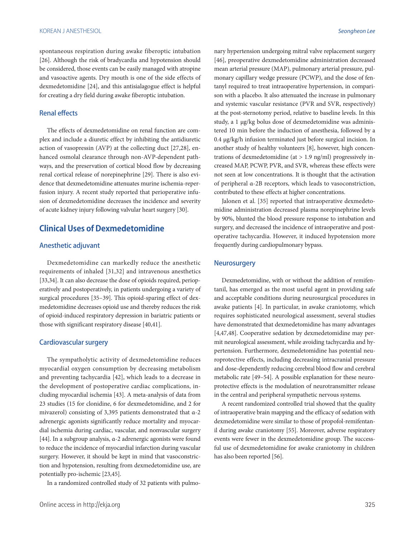#### KOREAN J ANESTHESIOL *Seongheon Lee*

spontaneous respiration during awake fiberoptic intubation [26]. Although the risk of bradycardia and hypotension should be considered, those events can be easily managed with atropine and vasoactive agents. Dry mouth is one of the side effects of dexmedetomidine [24], and this antisialagogue effect is helpful for creating a dry field during awake fiberoptic intubation.

#### Renal effects

The effects of dexmedetomidine on renal function are complex and include a diuretic effect by inhibiting the antidiuretic action of vasopressin (AVP) at the collecting duct [27,28], enhanced osmolal clearance through non-AVP-dependent pathways, and the preservation of cortical blood flow by decreasing renal cortical release of norepinephrine [29]. There is also evidence that dexmedetomidine attenuates murine ischemia-reperfusion injury. A recent study reported that perioperative infusion of dexmedetomidine decreases the incidence and severity of acute kidney injury following valvular heart surgery [30].

# **Clinical Uses of Dexmedetomidine**

### Anesthetic adjuvant

Dexmedetomidine can markedly reduce the anesthetic requirements of inhaled [31,32] and intravenous anesthetics [33,34]. It can also decrease the dose of opioids required, perioperatively and postoperatively, in patients undergoing a variety of surgical procedures [35–39]. This opioid-sparing effect of dexmedetomidine decreases opioid use and thereby reduces the risk of opioid-induced respiratory depression in bariatric patients or those with significant respiratory disease [40,41].

#### Cardiovascular surgery

The sympatholytic activity of dexmedetomidine reduces myocardial oxygen consumption by decreasing metabolism and preventing tachycardia [42], which leads to a decrease in the development of postoperative cardiac complications, including myocardial ischemia [43]. A meta-analysis of data from 23 studies (15 for clonidine, 6 for dexmedetomidine, and 2 for mivazerol) consisting of 3,395 patients demonstrated that α-2 adrenergic agonists significantly reduce mortality and myocardial ischemia during cardiac, vascular, and nonvascular surgery [44]. In a subgroup analysis, α-2 adrenergic agonists were found to reduce the incidence of myocardial infarction during vascular surgery. However, it should be kept in mind that vasoconstriction and hypotension, resulting from dexmedetomidine use, are potentially pro-ischemic [23,45].

In a randomized controlled study of 32 patients with pulmo-

nary hypertension undergoing mitral valve replacement surgery [46], preoperative dexmedetomidine administration decreased mean arterial pressure (MAP), pulmonary arterial pressure, pulmonary capillary wedge pressure (PCWP), and the dose of fentanyl required to treat intraoperative hypertension, in comparison with a placebo. It also attenuated the increase in pulmonary and systemic vascular resistance (PVR and SVR, respectively) at the post-sternotomy period, relative to baseline levels. In this study, a 1 μg/kg bolus dose of dexmedetomidine was administered 10 min before the induction of anesthesia, followed by a 0.4 μg/kg/h infusion terminated just before surgical incision. In another study of healthy volunteers [8], however, high concentrations of dexmedetomidine (at  $> 1.9$  ng/ml) progressively increased MAP, PCWP, PVR, and SVR, whereas these effects were not seen at low concentrations. It is thought that the activation of peripheral α-2B receptors, which leads to vasoconstriction, contributed to these effects at higher concentrations.

Jalonen et al. [35] reported that intraoperative dexmedetomidine administration decreased plasma norepinephrine levels by 90%, blunted the blood pressure response to intubation and surgery, and decreased the incidence of intraoperative and postoperative tachycardia. However, it induced hypotension more frequently during cardiopulmonary bypass.

#### **Neurosurgery**

Dexmedetomidine, with or without the addition of remifentanil, has emerged as the most useful agent in providing safe and acceptable conditions during neurosurgical procedures in awake patients [4]. In particular, in awake craniotomy, which requires sophisticated neurological assessment, several studies have demonstrated that dexmedetomidine has many advantages [4,47,48]. Cooperative sedation by dexmedetomidine may permit neurological assessment, while avoiding tachycardia and hypertension. Furthermore, dexmedetomidine has potential neuroprotective effects, including decreasing intracranial pressure and dose-dependently reducing cerebral blood flow and cerebral metabolic rate [49–54]. A possible explanation for these neuroprotective effects is the modulation of neurotransmitter release in the central and peripheral sympathetic nervous systems.

A recent randomized controlled trial showed that the quality of intraoperative brain mapping and the efficacy of sedation with dexmedetomidine were similar to those of propofol-remifentanil during awake craniotomy [55]. Moreover, adverse respiratory events were fewer in the dexmedetomidine group. The successful use of dexmedetomidine for awake craniotomy in children has also been reported [56].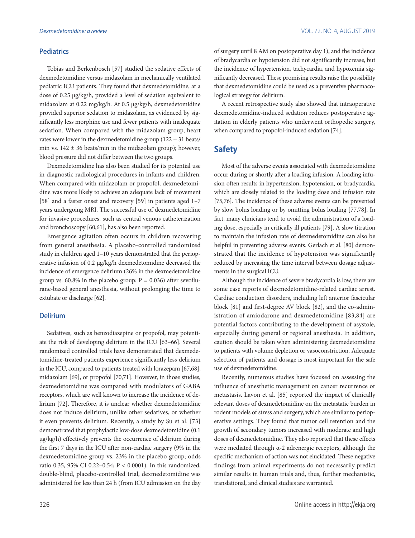#### **Pediatrics**

Tobias and Berkenbosch [57] studied the sedative effects of dexmedetomidine versus midazolam in mechanically ventilated pediatric ICU patients. They found that dexmedetomidine, at a dose of 0.25 μg/kg/h, provided a level of sedation equivalent to midazolam at 0.22 mg/kg/h. At 0.5 μg/kg/h, dexmedetomidine provided superior sedation to midazolam, as evidenced by significantly less morphine use and fewer patients with inadequate sedation. When compared with the midazolam group, heart rates were lower in the dexmedetomidine group (122 ± 31 beats/ min vs.  $142 \pm 36$  beats/min in the midazolam group); however, blood pressure did not differ between the two groups.

Dexmedetomidine has also been studied for its potential use in diagnostic radiological procedures in infants and children. When compared with midazolam or propofol, dexmedetomidine was more likely to achieve an adequate lack of movement [58] and a faster onset and recovery [59] in patients aged 1–7 years undergoing MRI. The successful use of dexmedetomidine for invasive procedures, such as central venous catheterization and bronchoscopy [60,61], has also been reported.

Emergence agitation often occurs in children recovering from general anesthesia. A placebo-controlled randomized study in children aged 1–10 years demonstrated that the perioperative infusion of 0.2 μg/kg/h dexmedetomidine decreased the incidence of emergence delirium (26% in the dexmedetomidine group vs. 60.8% in the placebo group;  $P = 0.036$ ) after sevoflurane-based general anesthesia, without prolonging the time to extubate or discharge [62].

#### Delirium

Sedatives, such as benzodiazepine or propofol, may potentiate the risk of developing delirium in the ICU [63–66]. Several randomized controlled trials have demonstrated that dexmedetomidine-treated patients experience significantly less delirium in the ICU, compared to patients treated with lorazepam [67,68], midazolam [69], or propofol [70,71]. However, in those studies, dexmedetomidine was compared with modulators of GABA receptors, which are well known to increase the incidence of delirium [72]. Therefore, it is unclear whether dexmedetomidine does not induce delirium, unlike other sedatives, or whether it even prevents delirium. Recently, a study by Su et al. [73] demonstrated that prophylactic low-dose dexmedetomidine (0.1 μg/kg/h) effectively prevents the occurrence of delirium during the first 7 days in the ICU after non-cardiac surgery (9% in the dexmedetomidine group vs. 23% in the placebo group; odds ratio 0.35, 95% CI 0.22–0.54; P < 0.0001). In this randomized, double-blind, placebo-controlled trial, dexmedetomidine was administered for less than 24 h (from ICU admission on the day of surgery until 8 AM on postoperative day 1), and the incidence of bradycardia or hypotension did not significantly increase, but the incidence of hypertension, tachycardia, and hypoxemia significantly decreased. These promising results raise the possibility that dexmedetomidine could be used as a preventive pharmacological strategy for delirium.

A recent retrospective study also showed that intraoperative dexmedetomidine-induced sedation reduces postoperative agitation in elderly patients who underwent orthopedic surgery, when compared to propofol-induced sedation [74].

# **Safety**

Most of the adverse events associated with dexmedetomidine occur during or shortly after a loading infusion. A loading infusion often results in hypertension, hypotension, or bradycardia, which are closely related to the loading dose and infusion rate [75,76]. The incidence of these adverse events can be prevented by slow bolus loading or by omitting bolus loading [77,78]. In fact, many clinicians tend to avoid the administration of a loading dose, especially in critically ill patients [79]. A slow titration to maintain the infusion rate of dexmedetomidine can also be helpful in preventing adverse events. Gerlach et al. [80] demonstrated that the incidence of hypotension was significantly reduced by increasing the time interval between dosage adjustments in the surgical ICU.

Although the incidence of severe bradycardia is low, there are some case reports of dexmedetomidine-related cardiac arrest. Cardiac conduction disorders, including left anterior fascicular block [81] and first-degree AV block [82], and the co-administration of amiodarone and dexmedetomidine [83,84] are potential factors contributing to the development of asystole, especially during general or regional anesthesia. In addition, caution should be taken when administering dexmedetomidine to patients with volume depletion or vasoconstriction. Adequate selection of patients and dosage is most important for the safe use of dexmedetomidine.

Recently, numerous studies have focused on assessing the influence of anesthetic management on cancer recurrence or metastasis. Lavon et al. [85] reported the impact of clinically relevant doses of dexmedetomidine on the metastatic burden in rodent models of stress and surgery, which are similar to perioperative settings. They found that tumor cell retention and the growth of secondary tumors increased with moderate and high doses of dexmedetomidine. They also reported that these effects were mediated through α-2 adrenergic receptors, although the specific mechanism of action was not elucidated. These negative findings from animal experiments do not necessarily predict similar results in human trials and, thus, further mechanistic, translational, and clinical studies are warranted.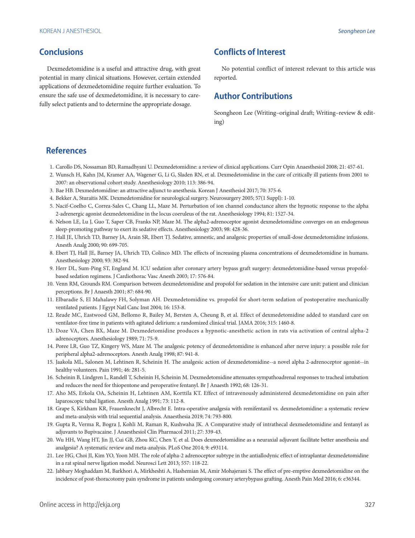# **Conclusions**

Dexmedetomidine is a useful and attractive drug, with great potential in many clinical situations. However, certain extended applications of dexmedetomidine require further evaluation. To ensure the safe use of dexmedetomidine, it is necessary to carefully select patients and to determine the appropriate dosage.

# **Conflicts of Interest**

No potential conflict of interest relevant to this article was reported.

# **Author Contributions**

Seongheon Lee (Writing–original draft; Writing–review & editing)

# **References**

- 1. Carollo DS, Nossaman BD, Ramadhyani U. Dexmedetomidine: a review of clinical applications. Curr Opin Anaesthesiol 2008; 21: 457-61.
- 2. Wunsch H, Kahn JM, Kramer AA, Wagener G, Li G, Sladen RN, et al. Dexmedetomidine in the care of critically ill patients from 2001 to 2007: an observational cohort study. Anesthesiology 2010; 113: 386-94.
- 3. Bae HB. Dexmedetomidine: an attractive adjunct to anesthesia. Korean J Anesthesiol 2017; 70: 375-6.
- 4. Bekker A, Sturaitis MK. Dexmedetomidine for neurological surgery. Neurosurgery 2005; 57(1 Suppl): 1-10.
- 5. Nacif-Coelho C, Correa-Sales C, Chang LL, Maze M. Perturbation of ion channel conductance alters the hypnotic response to the alpha 2-adrenergic agonist dexmedetomidine in the locus coeruleus of the rat. Anesthesiology 1994; 81: 1527-34.
- 6. Nelson LE, Lu J, Guo T, Saper CB, Franks NP, Maze M. The alpha2-adrenoceptor agonist dexmedetomidine converges on an endogenous sleep-promoting pathway to exert its sedative effects. Anesthesiology 2003; 98: 428-36.
- 7. Hall JE, Uhrich TD, Barney JA, Arain SR, Ebert TJ. Sedative, amnestic, and analgesic properties of small-dose dexmedetomidine infusions. Anesth Analg 2000; 90: 699-705.
- 8. Ebert TJ, Hall JE, Barney JA, Uhrich TD, Colinco MD. The effects of increasing plasma concentrations of dexmedetomidine in humans. Anesthesiology 2000; 93: 382-94.
- 9. Herr DL, Sum-Ping ST, England M. ICU sedation after coronary artery bypass graft surgery: dexmedetomidine-based versus propofolbased sedation regimens. J Cardiothorac Vasc Anesth 2003; 17: 576-84.
- 10. Venn RM, Grounds RM. Comparison between dexmedetomidine and propofol for sedation in the intensive care unit: patient and clinician perceptions. Br J Anaesth 2001; 87: 684-90.
- 11. Elbaradie S, El Mahalawy FH, Solyman AH. Dexmedetomidine vs. propofol for short-term sedation of postoperative mechanically ventilated patients. J Egypt Natl Canc Inst 2004; 16: 153-8.
- 12. Reade MC, Eastwood GM, Bellomo R, Bailey M, Bersten A, Cheung B, et al. Effect of dexmedetomidine added to standard care on ventilator-free time in patients with agitated delirium: a randomized clinical trial. JAMA 2016; 315: 1460-8.
- 13. Doze VA, Chen BX, Maze M. Dexmedetomidine produces a hypnotic-anesthetic action in rats via activation of central alpha-2 adrenoceptors. Anesthesiology 1989; 71: 75-9.
- 14. Poree LR, Guo TZ, Kingery WS, Maze M. The analgesic potency of dexmedetomidine is enhanced after nerve injury: a possible role for peripheral alpha2-adrenoceptors. Anesth Analg 1998; 87: 941-8.
- 15. Jaakola ML, Salonen M, Lehtinen R, Scheinin H. The analgesic action of dexmedetomidine--a novel alpha 2-adrenoceptor agonist--in healthy volunteers. Pain 1991; 46: 281-5.
- 16. Scheinin B, Lindgren L, Randell T, Scheinin H, Scheinin M. Dexmedetomidine attenuates sympathoadrenal responses to tracheal intubation and reduces the need for thiopentone and peroperative fentanyl. Br J Anaesth 1992; 68: 126-31.
- 17. Aho MS, Erkola OA, Scheinin H, Lehtinen AM, Korttila KT. Effect of intravenously administered dexmedetomidine on pain after laparoscopic tubal ligation. Anesth Analg 1991; 73: 112-8.
- 18. Grape S, Kirkham KR, Frauenknecht J, Albrecht E. Intra-operative analgesia with remifentanil vs. dexmedetomidine: a systematic review and meta-analysis with trial sequential analysis. Anaesthesia 2019; 74: 793-800.
- 19. Gupta R, Verma R, Bogra J, Kohli M, Raman R, Kushwaha JK. A Comparative study of intrathecal dexmedetomidine and fentanyl as adjuvants to Bupivacaine. J Anaesthesiol Clin Pharmacol 2011; 27: 339-43.
- 20. Wu HH, Wang HT, Jin JJ, Cui GB, Zhou KC, Chen Y, et al. Does dexmedetomidine as a neuraxial adjuvant facilitate better anesthesia and analgesia? A systematic review and meta-analysis. PLoS One 2014; 9: e93114.
- 21. Lee HG, Choi JI, Kim YO, Yoon MH. The role of alpha-2 adrenoceptor subtype in the antiallodynic effect of intraplantar dexmedetomidine in a rat spinal nerve ligation model. Neurosci Lett 2013; 557: 118-22.
- 22. Jabbary Moghaddam M, Barkhori A, Mirkheshti A, Hashemian M, Amir Mohajerani S. The effect of pre-emptive dexmedetomidine on the incidence of post-thoracotomy pain syndrome in patients undergoing coronary arterybypass grafting. Anesth Pain Med 2016; 6: e36344.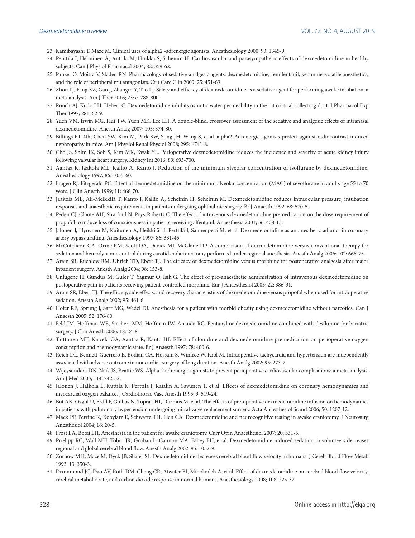- 23. Kamibayashi T, Maze M. Clinical uses of alpha2 -adrenergic agonists. Anesthesiology 2000; 93: 1345-9.
- 24. Penttilä J, Helminen A, Anttila M, Hinkka S, Scheinin H. Cardiovascular and parasympathetic effects of dexmedetomidine in healthy subjects. Can J Physiol Pharmacol 2004; 82: 359-62.
- 25. Panzer O, Moitra V, Sladen RN. Pharmacology of sedative-analgesic agents: dexmedetomidine, remifentanil, ketamine, volatile anesthetics, and the role of peripheral mu antagonists. Crit Care Clin 2009; 25: 451-69.
- 26. Zhou LJ, Fang XZ, Gao J, Zhangm Y, Tao LJ. Safety and efficacy of dexmedetomidine as a sedative agent for performing awake intubation: a meta-analysis. Am J Ther 2016; 23: e1788-800.
- 27. Rouch AJ, Kudo LH, Hébert C. Dexmedetomidine inhibits osmotic water permeability in the rat cortical collecting duct. J Pharmacol Exp Ther 1997; 281: 62-9.
- 28. Yuen VM, Irwin MG, Hui TW, Yuen MK, Lee LH. A double-blind, crossover assessment of the sedative and analgesic effects of intranasal dexmedetomidine. Anesth Analg 2007; 105: 374-80.
- 29. Billings FT 4th, Chen SW, Kim M, Park SW, Song JH, Wang S, et al. alpha2-Adrenergic agonists protect against radiocontrast-induced nephropathy in mice. Am J Physiol Renal Physiol 2008; 295: F741-8.
- 30. Cho JS, Shim JK, Soh S, Kim MK, Kwak YL. Perioperative dexmedetomidine reduces the incidence and severity of acute kidney injury following valvular heart surgery. Kidney Int 2016; 89: 693-700.
- 31. Aantaa R, Jaakola ML, Kallio A, Kanto J. Reduction of the minimum alveolar concentration of isoflurane by dexmedetomidine. Anesthesiology 1997; 86: 1055-60.
- 32. Fragen RJ, Fitzgerald PC. Effect of dexmedetomidine on the minimum alveolar concentration (MAC) of sevoflurane in adults age 55 to 70 years. J Clin Anesth 1999; 11: 466-70.
- 33. Jaakola ML, Ali-Melkkilä T, Kanto J, Kallio A, Scheinin H, Scheinin M. Dexmedetomidine reduces intraocular pressure, intubation responses and anaesthetic requirements in patients undergoing ophthalmic surgery. Br J Anaesth 1992; 68: 570-5.
- 34. Peden CJ, Cloote AH, Stratford N, Prys-Roberts C. The effect of intravenous dexmedetomidine premedication on the dose requirement of propofol to induce loss of consciousness in patients receiving alfentanil. Anaesthesia 2001; 56: 408-13.
- 35. Jalonen J, Hynynen M, Kuitunen A, Heikkilä H, Perttilä J, Salmenperä M, et al. Dexmedetomidine as an anesthetic adjunct in coronary artery bypass grafting. Anesthesiology 1997; 86: 331-45.
- 36. McCutcheon CA, Orme RM, Scott DA, Davies MJ, McGlade DP. A comparison of dexmedetomidine versus conventional therapy for sedation and hemodynamic control during carotid endarterectomy performed under regional anesthesia. Anesth Analg 2006; 102: 668-75.
- 37. Arain SR, Ruehlow RM, Uhrich TD, Ebert TJ. The efficacy of dexmedetomidine versus morphine for postoperative analgesia after major inpatient surgery. Anesth Analg 2004; 98: 153-8.
- 38. Unlugenc H, Gunduz M, Guler T, Yagmur O, Isik G. The effect of pre-anaesthetic administration of intravenous dexmedetomidine on postoperative pain in patients receiving patient-controlled morphine. Eur J Anaesthesiol 2005; 22: 386-91.
- 39. Arain SR, Ebert TJ. The efficacy, side effects, and recovery characteristics of dexmedetomidine versus propofol when used for intraoperative sedation. Anesth Analg 2002; 95: 461-6.
- 40. Hofer RE, Sprung J, Sarr MG, Wedel DJ. Anesthesia for a patient with morbid obesity using dexmedetomidine without narcotics. Can J Anaesth 2005; 52: 176-80.
- 41. Feld JM, Hoffman WE, Stechert MM, Hoffman IW, Ananda RC. Fentanyl or dexmedetomidine combined with desflurane for bariatric surgery. J Clin Anesth 2006; 18: 24-8.
- 42. Taittonen MT, Kirvelä OA, Aantaa R, Kanto JH. Effect of clonidine and dexmedetomidine premedication on perioperative oxygen consumption and haemodynamic state. Br J Anaesth 1997; 78: 400-6.
- 43. Reich DL, Bennett-Guerrero E, Bodian CA, Hossain S, Winfree W, Krol M. Intraoperative tachycardia and hypertension are independently associated with adverse outcome in noncardiac surgery of long duration. Anesth Analg 2002; 95: 273-7.
- 44. Wijeysundera DN, Naik JS, Beattie WS. Alpha-2 adrenergic agonists to prevent perioperative cardiovascular complications: a meta-analysis. Am J Med 2003; 114: 742-52.
- 45. Jalonen J, Halkola L, Kuttila K, Perttilä J, Rajalin A, Savunen T, et al. Effects of dexmedetomidine on coronary hemodynamics and myocardial oxygen balance. J Cardiothorac Vasc Anesth 1995; 9: 519-24.
- 46. But AK, Ozgul U, Erdil F, Gulhas N, Toprak HI, Durmus M, et al. The effects of pre-operative dexmedetomidine infusion on hemodynamics in patients with pulmonary hypertension undergoing mitral valve replacement surgery. Acta Anaesthesiol Scand 2006; 50: 1207-12.
- 47. Mack PF, Perrine K, Kobylarz E, Schwartz TH, Lien CA. Dexmedetomidine and neurocognitive testing in awake craniotomy. J Neurosurg Anesthesiol 2004; 16: 20-5.
- 48. Frost EA, Booij LH. Anesthesia in the patient for awake craniotomy. Curr Opin Anaesthesiol 2007; 20: 331-5.
- 49. Prielipp RC, Wall MH, Tobin JR, Groban L, Cannon MA, Fahey FH, et al. Dexmedetomidine-induced sedation in volunteers decreases regional and global cerebral blood flow. Anesth Analg 2002; 95: 1052-9.
- 50. Zornow MH, Maze M, Dyck JB, Shafer SL. Dexmedetomidine decreases cerebral blood flow velocity in humans. J Cereb Blood Flow Metab 1993; 13: 350-3.
- 51. Drummond JC, Dao AV, Roth DM, Cheng CR, Atwater BI, Minokadeh A, et al. Effect of dexmedetomidine on cerebral blood flow velocity, cerebral metabolic rate, and carbon dioxide response in normal humans. Anesthesiology 2008; 108: 225-32.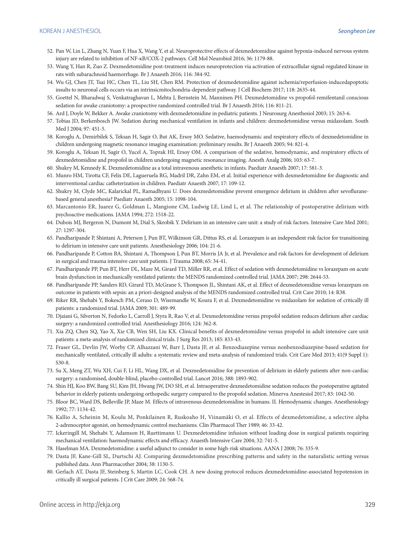- 52. Pan W, Lin L, Zhang N, Yuan F, Hua X, Wang Y, et al. Neuroprotective effects of dexmedetomidine against hypoxia-induced nervous system injury are related to inhibition of NF-κB/COX-2 pathways. Cell Mol Neurobiol 2016; 36: 1179-88.
- 53. Wang Y, Han R, Zuo Z. Dexmedetomidine post-treatment induces neuroprotection via activation of extracellular signal-regulated kinase in rats with subarachnoid haemorrhage. Br J Anaesth 2016; 116: 384-92.
- 54. Wu GJ, Chen JT, Tsai HC, Chen TL, Liu SH, Chen RM. Protection of dexmedetomidine against ischemia/reperfusion-inducedapoptotic insults to neuronal cells occurs via an intrinsicmitochondria-dependent pathway. J Cell Biochem 2017; 118: 2635-44.
- 55. Goettel N, Bharadwaj S, Venkatraghavan L, Mehta J, Bernstein M, Manninen PH. Dexmedetomidine vs propofol-remifentanil conscious sedation for awake craniotomy: a prospective randomized controlled trial. Br J Anaesth 2016; 116: 811-21.
- 56. Ard J, Doyle W, Bekker A. Awake craniotomy with dexmedetomidine in pediatric patients. J Neurosurg Anesthesiol 2003; 15: 263-6.
- 57. Tobias JD, Berkenbosch JW. Sedation during mechanical ventilation in infants and children: dexmedetomidine versus midazolam. South Med I 2004; 97: 451-5.
- 58. Koroglu A, Demirbilek S, Teksan H, Sagir O, But AK, Ersoy MO. Sedative, haemodynamic and respiratory effects of dexmedetomidine in children undergoing magnetic resonance imaging examination: preliminary results. Br J Anaesth 2005; 94: 821-4.
- 59. Koroglu A, Teksan H, Sagir O, Yucel A, Toprak HI, Ersoy OM. A comparison of the sedative, hemodynamic, and respiratory effects of dexmedetomidine and propofol in children undergoing magnetic resonance imaging. Anesth Analg 2006; 103: 63-7.
- 60. Shukry M, Kennedy K. Dexmedetomidine as a total intravenous anesthetic in infants. Paediatr Anaesth 2007; 17: 581-3.
- 61. Munro HM, Tirotta CF, Felix DE, Lagueruela RG, Madril DR, Zahn EM, et al. Initial experience with dexmedetomidine for diagnostic and interventional cardiac catheterization in children. Paediatr Anaesth 2007; 17: 109-12.
- 62. Shukry M, Clyde MC, Kalarickal PL, Ramadhyani U. Does dexmedetomidine prevent emergence delirium in children after sevofluranebased general anesthesia? Paediatr Anaesth 2005; 15: 1098-104.
- 63. Marcantonio ER, Juarez G, Goldman L, Mangione CM, Ludwig LE, Lind L, et al. The relationship of postoperative delirium with psychoactive medications. JAMA 1994; 272: 1518-22.
- 64. Dubois MJ, Bergeron N, Dumont M, Dial S, Skrobik Y. Delirium in an intensive care unit: a study of risk factors. Intensive Care Med 2001; 27: 1297-304.
- 65. Pandharipande P, Shintani A, Peterson J, Pun BT, Wilkinson GR, Dittus RS, et al. Lorazepam is an independent risk factor for transitioning to delirium in intensive care unit patients. Anesthesiology 2006; 104: 21-6.
- 66. Pandharipande P, Cotton BA, Shintani A, Thompson J, Pun BT, Morris JA Jr, et al. Prevalence and risk factors for development of delirium in surgical and trauma intensive care unit patients. J Trauma 2008; 65: 34-41.
- 67. Pandharipande PP, Pun BT, Herr DL, Maze M, Girard TD, Miller RR, et al. Effect of sedation with dexmedetomidine vs lorazepam on acute brain dysfunction in mechanically ventilated patients: the MENDS randomized controlled trial. JAMA 2007; 298: 2644-53.
- 68. Pandharipande PP, Sanders RD, Girard TD, McGrane S, Thompson JL, Shintani AK, et al. Effect of dexmedetomidine versus lorazepam on outcome in patients with sepsis: an a priori-designed analysis of the MENDS randomized controlled trial. Crit Care 2010; 14: R38.
- 69. Riker RR, Shehabi Y, Bokesch PM, Ceraso D, Wisemandle W, Koura F, et al. Dexmedetomidine vs midazolam for sedation of critically ill patients: a randomized trial. JAMA 2009; 301: 489-99.
- 70. Djaiani G, Silverton N, Fedorko L, Carroll J, Styra R, Rao V, et al. Dexmedetomidine versus propofol sedation reduces delirium after cardiac surgery: a randomized controlled trial. Anesthesiology 2016; 124: 362-8.
- 71. Xia ZQ, Chen SQ, Yao X, Xie CB, Wen SH, Liu KX. Clinical benefits of dexmedetomidine versus propofol in adult intensive care unit patients: a meta-analysis of randomized clinical trials. J Surg Res 2013; 185: 833-43.
- 72. Fraser GL, Devlin JW, Worby CP, Alhazzani W, Barr J, Dasta JF, et al. Benzodiazepine versus nonbenzodiazepine-based sedation for mechanically ventilated, critically ill adults: a systematic review and meta-analysis of randomized trials. Crit Care Med 2013; 41(9 Suppl 1): S30-8.
- 73. Su X, Meng ZT, Wu XH, Cui F, Li HL, Wang DX, et al. Dexmedetomidine for prevention of delirium in elderly patients after non-cardiac surgery: a randomised, double-blind, placebo-controlled trial. Lancet 2016; 388: 1893-902.
- 74. Shin HJ, Koo BW, Bang SU, Kim JH, Hwang JW, DO SH, et al. Intraoperative dexmedetomidine sedation reduces the postoperative agitated behavior in elderly patients undergoing orthopedic surgery compared to the propofol sedation. Minerva Anestesiol 2017; 83: 1042-50.
- 75. Bloor BC, Ward DS, Belleville JP, Maze M. Effects of intravenous dexmedetomidine in humans. II. Hemodynamic changes. Anesthesiology 1992; 77: 1134-42.
- 76. Kallio A, Scheinin M, Koulu M, Ponkilainen R, Ruskoaho H, Viinamäki O, et al. Effects of dexmedetomidine, a selective alpha 2-adrenoceptor agonist, on hemodynamic control mechanisms. Clin Pharmacol Ther 1989; 46: 33-42.
- 77. Ickeringill M, Shehabi Y, Adamson H, Ruettimann U. Dexmedetomidine infusion without loading dose in surgical patients requiring mechanical ventilation: haemodynamic effects and efficacy. Anaesth Intensive Care 2004; 32: 741-5.
- 78. Haselman MA. Dexmedetomidine: a useful adjunct to consider in some high-risk situations. AANA J 2008; 76: 335-9.
- 79. Dasta JF, Kane-Gill SL, Durtschi AJ. Comparing dexmedetomidine prescribing patterns and safety in the naturalistic setting versus published data. Ann Pharmacother 2004; 38: 1130-5.
- 80. Gerlach AT, Dasta JF, Steinberg S, Martin LC, Cook CH. A new dosing protocol reduces dexmedetomidine-associated hypotension in critically ill surgical patients. J Crit Care 2009; 24: 568-74.